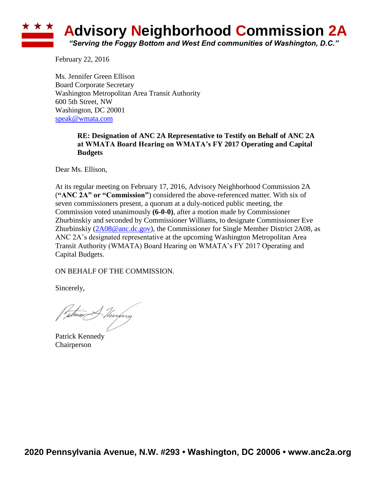# **Advisory Neighborhood Commission 2A** *"Serving the Foggy Bottom and West End communities of Washington, D.C."*

February 22, 2016

Ms. Jennifer Green Ellison Board Corporate Secretary Washington Metropolitan Area Transit Authority 600 5th Street, NW Washington, DC 20001 [speak@wmata.com](mailto:speak@wmata.com)

#### **RE: Designation of ANC 2A Representative to Testify on Behalf of ANC 2A at WMATA Board Hearing on WMATA's FY 2017 Operating and Capital Budgets**

Dear Ms. Ellison,

At its regular meeting on February 17, 2016, Advisory Neighborhood Commission 2A (**"ANC 2A" or "Commission"**) considered the above-referenced matter. With six of seven commissioners present, a quorum at a duly-noticed public meeting, the Commission voted unanimously **(6-0-0)**, after a motion made by Commissioner Zhurbinskiy and seconded by Commissioner Williams, to designate Commissioner Eve Zhurbinskiy [\(2A08@anc.dc.gov\)](mailto:2A08@anc.dc.gov), the Commissioner for Single Member District 2A08, as ANC 2A's designated representative at the upcoming Washington Metropolitan Area Transit Authority (WMATA) Board Hearing on WMATA's FY 2017 Operating and Capital Budgets.

ON BEHALF OF THE COMMISSION.

Sincerely,

wh<del>en M</del>urpry

Patrick Kennedy Chairperson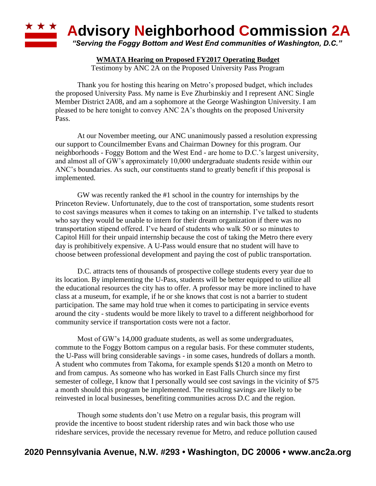

#### **WMATA Hearing on Proposed FY2017 Operating Budget**

Testimony by ANC 2A on the Proposed University Pass Program

Thank you for hosting this hearing on Metro's proposed budget, which includes the proposed University Pass. My name is Eve Zhurbinskiy and I represent ANC Single Member District 2A08, and am a sophomore at the George Washington University. I am pleased to be here tonight to convey ANC 2A's thoughts on the proposed University Pass.

At our November meeting, our ANC unanimously passed a resolution expressing our support to Councilmember Evans and Chairman Downey for this program. Our neighborhoods - Foggy Bottom and the West End - are home to D.C.'s largest university, and almost all of GW's approximately 10,000 undergraduate students reside within our ANC's boundaries. As such, our constituents stand to greatly benefit if this proposal is implemented.

GW was recently ranked the #1 school in the country for internships by the Princeton Review. Unfortunately, due to the cost of transportation, some students resort to cost savings measures when it comes to taking on an internship. I've talked to students who say they would be unable to intern for their dream organization if there was no transportation stipend offered. I've heard of students who walk 50 or so minutes to Capitol Hill for their unpaid internship because the cost of taking the Metro there every day is prohibitively expensive. A U-Pass would ensure that no student will have to choose between professional development and paying the cost of public transportation.

D.C. attracts tens of thousands of prospective college students every year due to its location. By implementing the U-Pass, students will be better equipped to utilize all the educational resources the city has to offer. A professor may be more inclined to have class at a museum, for example, if he or she knows that cost is not a barrier to student participation. The same may hold true when it comes to participating in service events around the city - students would be more likely to travel to a different neighborhood for community service if transportation costs were not a factor.

Most of GW's 14,000 graduate students, as well as some undergraduates, commute to the Foggy Bottom campus on a regular basis. For these commuter students, the U-Pass will bring considerable savings - in some cases, hundreds of dollars a month. A student who commutes from Takoma, for example spends \$120 a month on Metro to and from campus. As someone who has worked in East Falls Church since my first semester of college, I know that I personally would see cost savings in the vicinity of \$75 a month should this program be implemented. The resulting savings are likely to be reinvested in local businesses, benefiting communities across D.C and the region.

Though some students don't use Metro on a regular basis, this program will provide the incentive to boost student ridership rates and win back those who use rideshare services, provide the necessary revenue for Metro, and reduce pollution caused

## **2020 Pennsylvania Avenue, N.W. #293 • Washington, DC 20006 • www.anc2a.org**